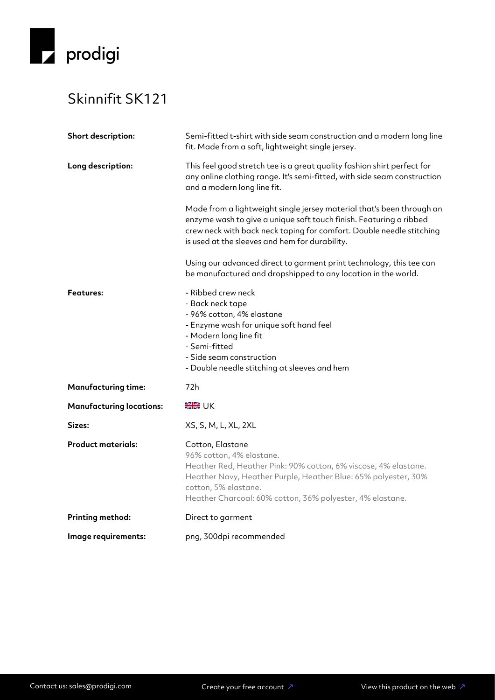

## Skinnifit SK121

| Short description:              | Semi-fitted t-shirt with side seam construction and a modern long line<br>fit. Made from a soft, lightweight single jersey.                                                                                                                                            |
|---------------------------------|------------------------------------------------------------------------------------------------------------------------------------------------------------------------------------------------------------------------------------------------------------------------|
| Long description:               | This feel good stretch tee is a great quality fashion shirt perfect for<br>any online clothing range. It's semi-fitted, with side seam construction<br>and a modern long line fit.                                                                                     |
|                                 | Made from a lightweight single jersey material that's been through an<br>enzyme wash to give a unique soft touch finish. Featuring a ribbed<br>crew neck with back neck taping for comfort. Double needle stitching<br>is used at the sleeves and hem for durability.  |
|                                 | Using our advanced direct to garment print technology, this tee can<br>be manufactured and dropshipped to any location in the world.                                                                                                                                   |
| <b>Features:</b>                | - Ribbed crew neck<br>- Back neck tape<br>- 96% cotton, 4% elastane<br>- Enzyme wash for unique soft hand feel<br>- Modern long line fit<br>- Semi-fitted<br>- Side seam construction<br>- Double needle stitching at sleeves and hem                                  |
| <b>Manufacturing time:</b>      | 72h                                                                                                                                                                                                                                                                    |
| <b>Manufacturing locations:</b> | <b>XK</b> UK                                                                                                                                                                                                                                                           |
| Sizes:                          | XS, S, M, L, XL, 2XL                                                                                                                                                                                                                                                   |
| <b>Product materials:</b>       | Cotton, Elastane<br>96% cotton, 4% elastane.<br>Heather Red, Heather Pink: 90% cotton, 6% viscose, 4% elastane.<br>Heather Navy, Heather Purple, Heather Blue: 65% polyester, 30%<br>cotton, 5% elastane.<br>Heather Charcoal: 60% cotton, 36% polyester, 4% elastane. |
| <b>Printing method:</b>         | Direct to garment                                                                                                                                                                                                                                                      |
| Image requirements:             | png, 300dpi recommended                                                                                                                                                                                                                                                |